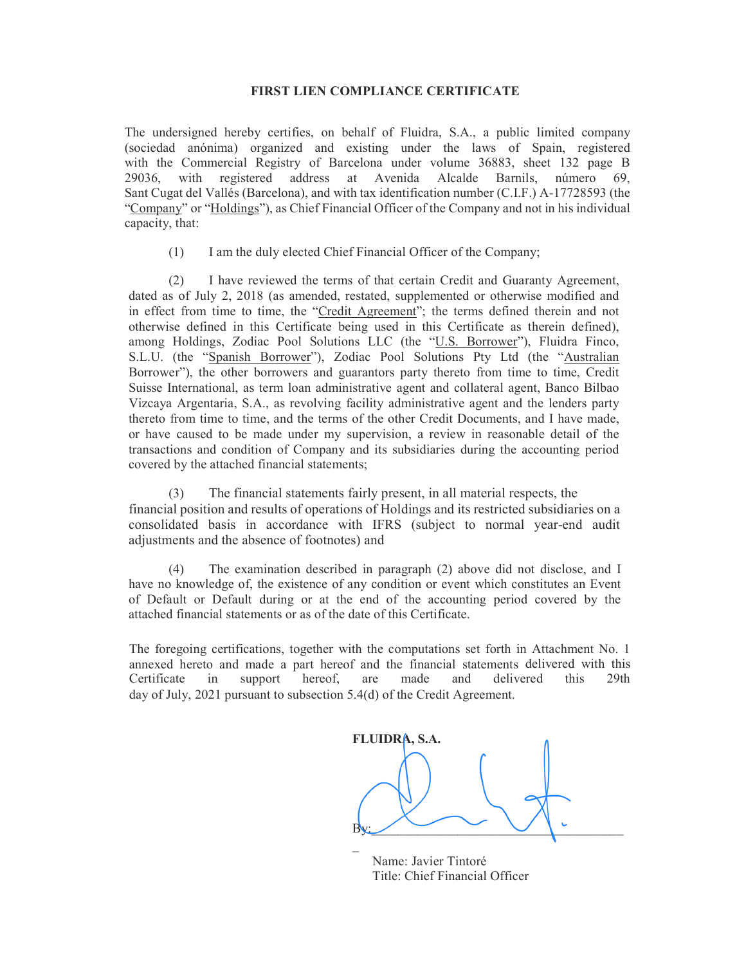## FIRST LIEN COMPLIANCE CERTIFICATE

The undersigned hereby certifies, on behalf of Fluidra, S.A., a public limited company (sociedad anónima) organized and existing under the laws of Spain, registered with the Commercial Registry of Barcelona under volume 36883, sheet 132 page B 29036, with registered address at Avenida Alcalde Barnils, número 69, Sant Cugat del Vallés (Barcelona), and with tax identification number (C.I.F.) A-17728593 (the "Company" or "Holdings"), as Chief Financial Officer of the Company and not in his individual capacity, that:

(1) I am the duly elected Chief Financial Officer of the Company;

(2) I have reviewed the terms of that certain Credit and Guaranty Agreement, dated as of July 2, 2018 (as amended, restated, supplemented or otherwise modified and in effect from time to time, the "Credit Agreement"; the terms defined therein and not otherwise defined in this Certificate being used in this Certificate as therein defined), among Holdings, Zodiac Pool Solutions LLC (the "U.S. Borrower"), Fluidra Finco, S.L.U. (the "Spanish Borrower"), Zodiac Pool Solutions Pty Ltd (the "Australian Borrower"), the other borrowers and guarantors party thereto from time to time, Credit Suisse International, as term loan administrative agent and collateral agent, Banco Bilbao Vizcaya Argentaria, S.A., as revolving facility administrative agent and the lenders party thereto from time to time, and the terms of the other Credit Documents, and I have made, or have caused to be made under my supervision, a review in reasonable detail of the transactions and condition of Company and its subsidiaries during the accounting period covered by the attached financial statements;

(3) The financial statements fairly present, in all material respects, the financial position and results of operations of Holdings and its restricted subsidiaries on a consolidated basis in accordance with IFRS (subject to normal year-end audit adjustments and the absence of footnotes) and

(4) The examination described in paragraph (2) above did not disclose, and I have no knowledge of, the existence of any condition or event which constitutes an Event of Default or Default during or at the end of the accounting period covered by the attached financial statements or as of the date of this Certificate.

The foregoing certifications, together with the computations set forth in Attachment No. 1 annexed hereto and made a part hereof and the financial statements delivered with this Certificate in support hereof, are made and delivered this 29th day of July, 2021 pursuant to subsection 5.4(d) of the Credit Agreement.

FLUIDRA, S.A.  $\mathop{\text{By}}$ :  $\mathcal{L}(\mathcal{L})$ 

 Name: Javier Tintoré Title: Chief Financial Officer